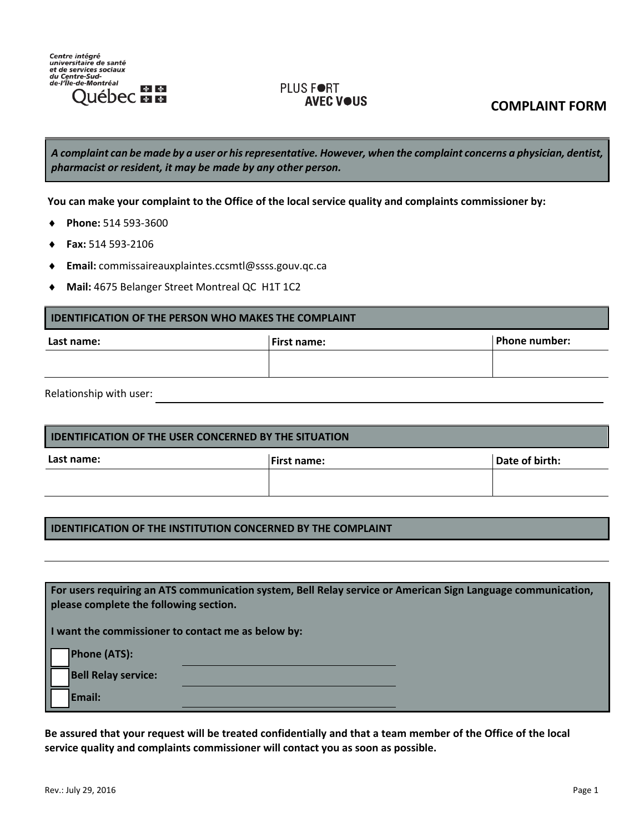

## PLUS FORT **AVEC V●US**

**COMPLAINT FORM** 

*A complaint can be made by a user or his representative. However, when the complaint concerns a physician, dentist, pharmacist or resident, it may be made by any other person.*

**You can make your complaint to the Office of the local service quality and complaints commissioner by:**

- **Phone:** 514 593-3600
- **Fax:** 514 593-2106
- **Email:** commissaireauxplaintes.ccsmtl@ssss.gouv.qc.ca
- **Mail:** 4675 Belanger Street Montreal QC H1T 1C2

## **IDENTIFICATION OF THE PERSON WHO MAKES THE COMPLAINT**

| Last name: | <b>First name:</b> | Phone number: |  |
|------------|--------------------|---------------|--|
|            |                    |               |  |
|            |                    |               |  |

Relationship with user:

| <b>LIDENTIFICATION OF THE USER CONCERNED BY THE SITUATION</b> |                |  |  |  |
|---------------------------------------------------------------|----------------|--|--|--|
| <b>IFirst name:</b>                                           | Date of birth: |  |  |  |
|                                                               |                |  |  |  |
|                                                               |                |  |  |  |

## **IDENTIFICATION OF THE INSTITUTION CONCERNED BY THE COMPLAINT**

| please complete the following section.             | For users requiring an ATS communication system, Bell Relay service or American Sign Language communication, |  |
|----------------------------------------------------|--------------------------------------------------------------------------------------------------------------|--|
| I want the commissioner to contact me as below by: |                                                                                                              |  |
| <b>Phone (ATS):</b>                                |                                                                                                              |  |
| <b>Bell Relay service:</b>                         |                                                                                                              |  |
| Email:                                             |                                                                                                              |  |

**Be assured that your request will be treated confidentially and that a team member of the Office of the local service quality and complaints commissioner will contact you as soon as possible.**